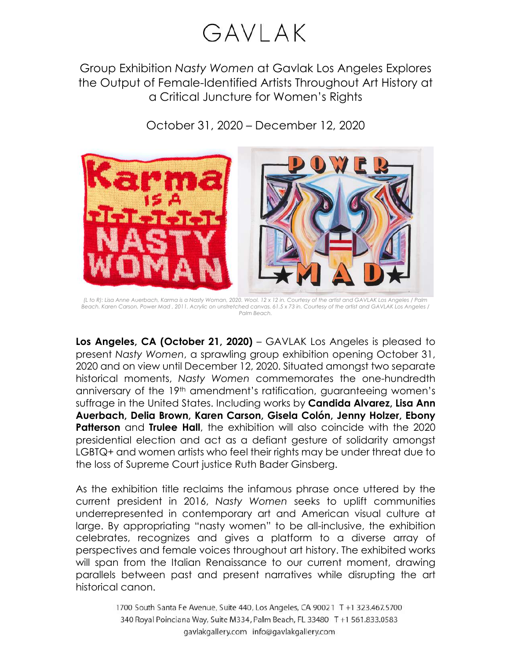## GAVLAK

Group Exhibition *Nasty Women* at Gavlak Los Angeles Explores the Output of Female-Identified Artists Throughout Art History at a Critical Juncture for Women's Rights

October 31, 2020 – December 12, 2020



*(L to R): Lisa Anne Auerbach, Karma is a Nasty Woman, 2020. Wool. 12 x 12 in. Courtesy of the artist and GAVLAK Los Angeles / Palm Beach. Karen Carson, Power Mad , 2011. Acrylic on unstretched canvas. 61.5 x 73 in. Courtesy of the artist and GAVLAK Los Angeles / Palm Beach.*

**Los Angeles, CA (October 21, 2020)** – GAVLAK Los Angeles is pleased to present *Nasty Women*, a sprawling group exhibition opening October 31, 2020 and on view until December 12, 2020. Situated amongst two separate historical moments, *Nasty Women* commemorates the one-hundredth anniversary of the 19th amendment's ratification, guaranteeing women's suffrage in the United States. Including works by **Candida Alvarez, Lisa Ann Auerbach, Delia Brown, Karen Carson, Gisela Colón, Jenny Holzer, Ebony Patterson** and **Trulee Hall**, the exhibition will also coincide with the 2020 presidential election and act as a defiant gesture of solidarity amongst LGBTQ+ and women artists who feel their rights may be under threat due to the loss of Supreme Court justice Ruth Bader Ginsberg.

As the exhibition title reclaims the infamous phrase once uttered by the current president in 2016, *Nasty Women* seeks to uplift communities underrepresented in contemporary art and American visual culture at large. By appropriating "nasty women" to be all-inclusive, the exhibition celebrates, recognizes and gives a platform to a diverse array of perspectives and female voices throughout art history. The exhibited works will span from the Italian Renaissance to our current moment, drawing parallels between past and present narratives while disrupting the art historical canon.

> 1700 South Santa Fe Avenue, Suite 440, Los Angeles, CA 90021 T +1 323.467.5700 340 Royal Poinciana Way, Suite M334, Palm Beach, FL 33480 T +1 561.833.0583 gavlakgallery.com info@gavlakgallery.com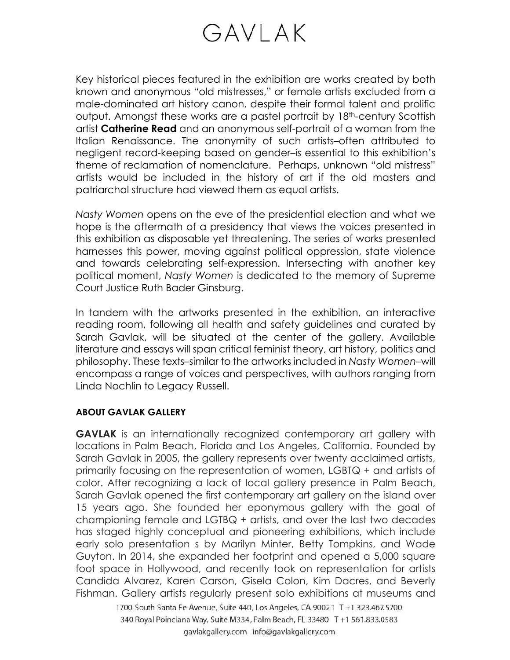## GAVLAK

Key historical pieces featured in the exhibition are works created by both known and anonymous "old mistresses," or female artists excluded from a male-dominated art history canon, despite their formal talent and prolific output. Amongst these works are a pastel portrait by 18<sup>th</sup>-century Scottish artist **Catherine Read** and an anonymous self-portrait of a woman from the Italian Renaissance. The anonymity of such artists–often attributed to negligent record-keeping based on gender–is essential to this exhibition's theme of reclamation of nomenclature. Perhaps, unknown "old mistress" artists would be included in the history of art if the old masters and patriarchal structure had viewed them as equal artists.

*Nasty Women* opens on the eve of the presidential election and what we hope is the aftermath of a presidency that views the voices presented in this exhibition as disposable yet threatening. The series of works presented harnesses this power, moving against political oppression, state violence and towards celebrating self-expression. Intersecting with another key political moment, *Nasty Women* is dedicated to the memory of Supreme Court Justice Ruth Bader Ginsburg.

In tandem with the artworks presented in the exhibition, an interactive reading room, following all health and safety guidelines and curated by Sarah Gavlak, will be situated at the center of the gallery. Available literature and essays will span critical feminist theory, art history, politics and philosophy. These texts–similar to the artworks included in *Nasty Women*–will encompass a range of voices and perspectives, with authors ranging from Linda Nochlin to Legacy Russell.

## **ABOUT GAVLAK GALLERY**

**GAVLAK** is an internationally recognized contemporary art gallery with locations in Palm Beach, Florida and Los Angeles, California. Founded by Sarah Gavlak in 2005, the gallery represents over twenty acclaimed artists, primarily focusing on the representation of women, LGBTQ + and artists of color. After recognizing a lack of local gallery presence in Palm Beach, Sarah Gavlak opened the first contemporary art gallery on the island over 15 years ago. She founded her eponymous gallery with the goal of championing female and LGTBQ + artists, and over the last two decades has staged highly conceptual and pioneering exhibitions, which include early solo presentation s by Marilyn Minter, Betty Tompkins, and Wade Guyton. In 2014, she expanded her footprint and opened a 5,000 square foot space in Hollywood, and recently took on representation for artists Candida Alvarez, Karen Carson, Gisela Colon, Kim Dacres, and Beverly Fishman. Gallery artists regularly present solo exhibitions at museums and

> 1700 South Santa Fe Avenue, Suite 440, Los Angeles, CA 90021 T +1 323.467.5700 340 Royal Poinciana Way, Suite M334, Palm Beach, FL 33480 T +1 561.833.0583 gavlakgallery.com info@gavlakgallery.com